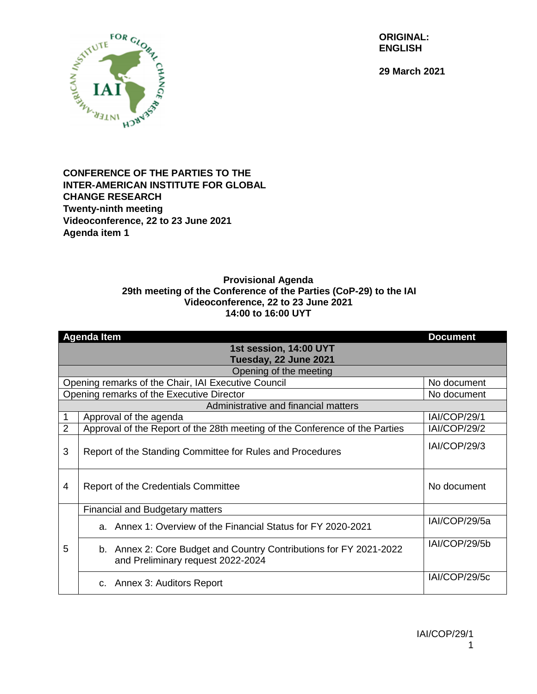**ORIGINAL: ENGLISH**

**29 March 2021**



## **CONFERENCE OF THE PARTIES TO THE INTER-AMERICAN INSTITUTE FOR GLOBAL CHANGE RESEARCH Twenty-ninth meeting Videoconference, 22 to 23 June 2021 Agenda item 1**

## **Provisional Agenda 29th meeting of the Conference of the Parties (CoP-29) to the IAI Videoconference, 22 to 23 June 2021 14:00 to 16:00 UYT**

|                                                     | <b>Agenda Item</b>                                                                                      | <b>Document</b>     |  |
|-----------------------------------------------------|---------------------------------------------------------------------------------------------------------|---------------------|--|
| 1st session, 14:00 UYT                              |                                                                                                         |                     |  |
| Tuesday, 22 June 2021                               |                                                                                                         |                     |  |
| Opening of the meeting                              |                                                                                                         |                     |  |
| Opening remarks of the Chair, IAI Executive Council |                                                                                                         | No document         |  |
| Opening remarks of the Executive Director           |                                                                                                         | No document         |  |
| Administrative and financial matters                |                                                                                                         |                     |  |
|                                                     | Approval of the agenda                                                                                  | IAI/COP/29/1        |  |
| $\overline{2}$                                      | Approval of the Report of the 28th meeting of the Conference of the Parties                             | <b>IAI/COP/29/2</b> |  |
| 3                                                   | Report of the Standing Committee for Rules and Procedures                                               | IAI/COP/29/3        |  |
| 4                                                   | Report of the Credentials Committee                                                                     | No document         |  |
|                                                     | <b>Financial and Budgetary matters</b>                                                                  |                     |  |
| 5                                                   | a. Annex 1: Overview of the Financial Status for FY 2020-2021                                           | IAI/COP/29/5a       |  |
|                                                     | b. Annex 2: Core Budget and Country Contributions for FY 2021-2022<br>and Preliminary request 2022-2024 | IAI/COP/29/5b       |  |
|                                                     | c. Annex 3: Auditors Report                                                                             | IAI/COP/29/5c       |  |